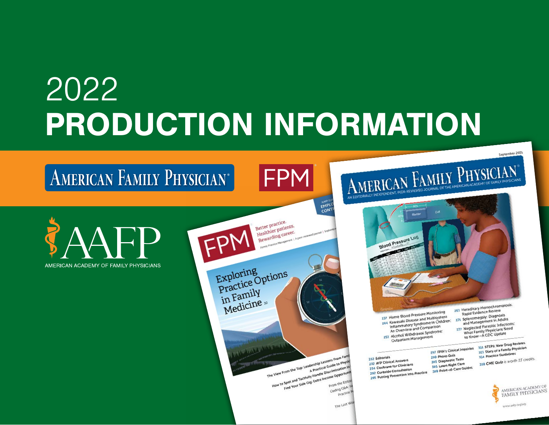# 2022 PRODUCTION INFORMATION



AMERICAN FAMILY PHYSICIAN®





297 Photo Quiz

303 Diagnostic Tests

305 Lown Right Care

Kampelou<br>237 Home Blood Pressure Monitoring<br>237 Home Blood Pressure Monitoring 237 Home Blood Pressure Monitoring<br>244 Kawasaki Disease and Multisystem<br>145 Manufactory Syndrome in Childre Home Blood<br>Kawasaki Disease and Multisystem<br>Inflammatory Syndrome in Children:<br>Inflammatow and Comparison Inflammatory Syndrome Inflammatory<br>An Overview and Comparison An Overview and Companion<br>253 Alcohol Withdrawal Syndrome: Alcohol Withdrawards

Hereditary Hemocratical Rapid Evidence Review<br>271 Splenomegaly: Diagnosis Splenomegaly: Diagnosis<br>and Management in Adults 271 Spienoman<br>and Management in Adults<br>277 Neglected Parasitic Infections:<br>277 Neglected Parasitic Infections

Neglected Parasitic Infections.<br>
What Family Physicians Need<br>
to Know-A CDC Update

297 FPIN's Clinical Inquiries 311 STEPS: New Drug Reviews<br>313 Diary of a Family Physician<br>313 Diary of A Family Physician 311 STEPS: New Drug Reviews<br>313 Diary of a Family Physician<br>313 Diary tice Guidelines 313 Diary of a Family Pilar 314 Practice data<br>228 CME Quiz is worth 13 credits. 305 Lown Right Care Guides

September 2021



222 Editorials

222 Editorials<br>232 AFP Clinical Answers

232 AFP Clinical Answers<br>234 Cochrane for Clinicians

234 Cochrane for Cum

234 Curbside Consultation<br>292 Curbside Consultation<br>295 Putting Prevention into Practice

CONT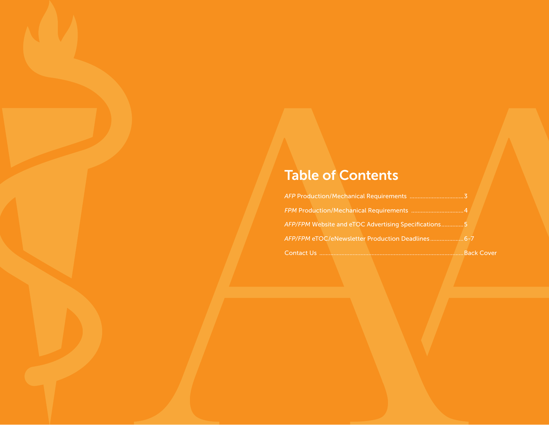# Table of Contents

| AFP/FPM Website and eTOC Advertising Specifications5   |  |
|--------------------------------------------------------|--|
| AFP/FPM eTOC/eNewsletter Production Deadlines6-7       |  |
| Contact Us …………………………………………………………………………………… Back Cover |  |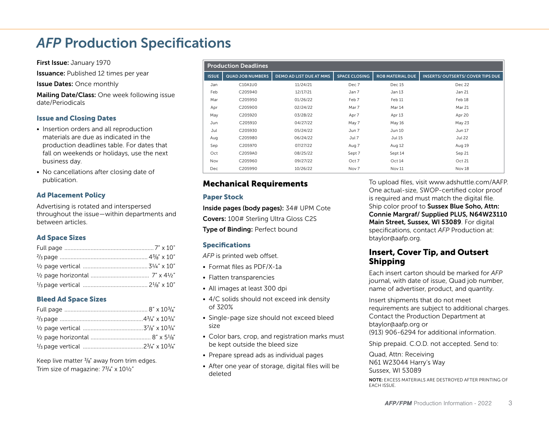# *AFP* Production Specifications

First Issue: January 1970

**Issuance:** Published 12 times per year

Issue Dates: Once monthly

Mailing Date/Class: One week following issue date/Periodicals

#### Issue and Closing Dates

- Insertion orders and all reproduction materials are due as indicated in the production deadlines table. For dates that fall on weekends or holidays, use the next business day.
- No cancellations after closing date of publication.

#### Ad Placement Policy

Advertising is rotated and interspersed throughout the issue—within departments and between articles.

## Ad Space Sizes

## Bleed Ad Space Sizes

Keep live matter  $\frac{3}{8}$ " away from trim edges. Trim size of magazine:  $7\frac{3}{4}$  x  $10\frac{1}{2}$ "

| <b>Production Deadlines</b> |                         |                                |                      |                         |                                          |
|-----------------------------|-------------------------|--------------------------------|----------------------|-------------------------|------------------------------------------|
| <b>ISSUE</b>                | <b>QUAD JOB NUMBERS</b> | <b>DEMO AD LIST DUE AT MMS</b> | <b>SPACE CLOSING</b> | <b>ROB MATERIAL DUE</b> | <b>INSERTS/ OUTSERTS/ COVER TIPS DUE</b> |
| Jan                         | C10A1U0                 | 11/24/21                       | Dec 7                | Dec 15                  | Dec 22                                   |
| Feb                         | C205940                 | 12/17/21                       | Jan 7                | Jan 13                  | Jan 21                                   |
| Mar                         | C205950                 | 01/26/22                       | Feb 7                | Feb 11                  | Feb 18                                   |
| Apr                         | C205900                 | 02/24/22                       | Mar 7                | Mar 14                  | Mar 21                                   |
| May                         | C205920                 | 03/28/22                       | Apr 7                | Apr 13                  | Apr 20                                   |
| Jun                         | C205910                 | 04/27/22                       | May 7                | May 16                  | May 23                                   |
| Jul                         | C205930                 | 05/24/22                       | Jun 7                | Jun 10                  | Jun 17                                   |
| Aug                         | C205980                 | 06/24/22                       | Jul 7                | Jul 15                  | Jul 22                                   |
| Sep                         | C205970                 | 07/27/22                       | Aug 7                | Aug 12                  | Aug 19                                   |
| Oct                         | C2059A0                 | 08/25/22                       | Sept 7               | Sept 14                 | Sep 21                                   |
| Nov                         | C205960                 | 09/27/22                       | Oct 7                | Oct 14                  | Oct 21                                   |
| Dec                         | C205990                 | 10/26/22                       | Nov 7                | Nov 11                  | Nov 18                                   |

# Mechanical Requirements

## Paper Stock

Inside pages (body pages): 34# UPM Cote Covers: 100# Sterling Ultra Gloss C2S Type of Binding: Perfect bound

## Specifications

*AFP* is printed web offset.

- Format files as PDF/X-1a
- Flatten transparencies
- All images at least 300 dpi
- 4/C solids should not exceed ink density of 320%
- Single-page size should not exceed bleed size
- Color bars, crop, and registration marks must be kept outside the bleed size
- Prepare spread ads as individual pages
- After one year of storage, digital files will be deleted

To upload files, visit www.adshuttle.com/AAFP. One actual-size, SWOP-certified color proof is required and must match the digital file. Ship color proof to Sussex Blue Soho, Attn: Connie Margraf/ Supplied PLUS, N64W23110 Main Street, Sussex, WI 53089. For digital specifications, contact *AFP* Production at: btaylor@aafp.org.

# Insert, Cover Tip, and Outsert Shipping

Each insert carton should be marked for *AFP* journal, with date of issue, Quad job number, name of advertiser, product, and quantity.

Insert shipments that do not meet requirements are subject to additional charges. Contact the Production Department at btaylor@aafp.org or (913) 906-6294 for additional information.

Ship prepaid. C.O.D. not accepted. Send to:

Quad, Attn: Receiving N61 W23044 Harry's Way Sussex, WI 53089

NOTE: EXCESS MATERIALS ARE DESTROYED AFTER PRINTING OF EACH ISSUE.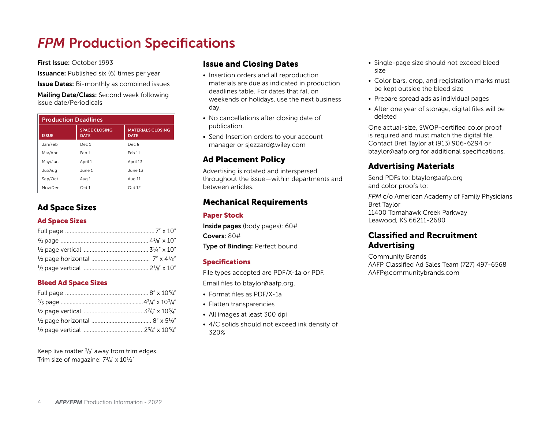# **FPM Production Specifications**

First Issue: October 1993

**Issuance:** Published six (6) times per year

**Issue Dates:** Bi-monthly as combined issues

Mailing Date/Class: Second week following issue date/Periodicals

| <b>Production Deadlines</b> |                                     |                                         |  |
|-----------------------------|-------------------------------------|-----------------------------------------|--|
| <b>ISSUE</b>                | <b>SPACE CLOSING</b><br><b>DATE</b> | <b>MATERIALS CLOSING</b><br><b>DATE</b> |  |
| Jan/Feb                     | Dec 1                               | Dec 8                                   |  |
| Mar/Apr                     | Feb 1                               | Feb 11                                  |  |
| May/Jun                     | April 1                             | April 13                                |  |
| Jul/Aug                     | June 1                              | June 13                                 |  |
| Sep/Oct                     | Aug 1                               | Aug 11                                  |  |
| Nov/Dec                     | Oct1                                | Oct 12                                  |  |

# Ad Space Sizes

## Ad Space Sizes

## Bleed Ad Space Sizes

Keep live matter  $\frac{3}{8}$ " away from trim edges. Trim size of magazine:  $7\frac{3}{4}$ " x  $10\frac{1}{2}$ "

# Issue and Closing Dates

- Insertion orders and all reproduction materials are due as indicated in production deadlines table. For dates that fall on weekends or holidays, use the next business day.
- No cancellations after closing date of publication.
- Send Insertion orders to your account manager or sjezzard@wiley.com

# Ad Placement Policy

Advertising is rotated and interspersed throughout the issue—within departments and between articles.

# Mechanical Requirements

# Paper Stock

Inside pages (body pages): 60# Covers: 80# Type of Binding: Perfect bound

## Specifications

File types accepted are PDF/X-1a or PDF.

Email files to btaylor@aafp.org.

- Format files as PDF/X-1a
- Flatten transparencies
- All images at least 300 dpi
- 4/C solids should not exceed ink density of 320%
- Single-page size should not exceed bleed size
- Color bars, crop, and registration marks must be kept outside the bleed size
- Prepare spread ads as individual pages
- After one year of storage, digital files will be deleted

One actual-size, SWOP-certified color proof is required and must match the digital file. Contact Bret Taylor at (913) 906-6294 or btaylor@aafp.org for additional specifications.

# Advertising Materials

Send PDFs to: btaylor@aafp.org and color proofs to:

*FPM* c/o American Academy of Family Physicians Bret Taylor 11400 Tomahawk Creek Parkway Leawood, KS 66211-2680

# Classified and Recruitment Advertising

Community Brands AAFP Classified Ad Sales Team (727) 497-6568 AAFP@communitybrands.com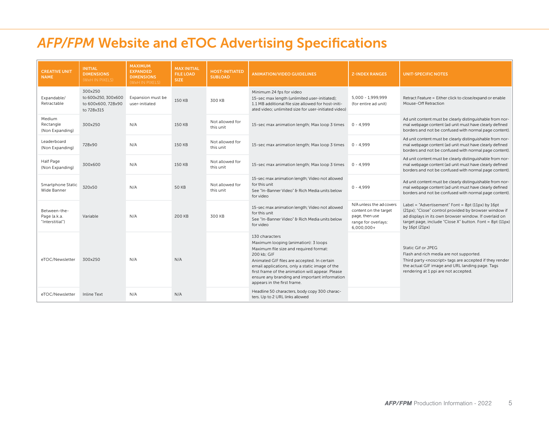# *AFP/FPM* Website and eTOC Advertising Specifications

| <b>CREATIVE UNIT</b><br><b>NAME</b>             | <b>INITIAL</b><br><b>DIMENSIONS</b><br>(WXH IN PIXELS)             | <b>MAXIMUM</b><br><b>EXPANDED</b><br><b>DIMENSIONS</b><br>(WXH IN PIXELS) | <b>MAX INITIAL</b><br><b>FILE LOAD</b><br>SIZE: | <b>HOST-INITIATED</b><br><b>SUBLOAD</b> | <b>ANIMATION/VIDEO GUIDELINES</b>                                                                                                                                                                                                                                                                                                                    | <b>Z-INDEX RANGES</b>                                                                                      | <b>UNIT-SPECIFIC NOTES</b>                                                                                                                                                                                                                         |
|-------------------------------------------------|--------------------------------------------------------------------|---------------------------------------------------------------------------|-------------------------------------------------|-----------------------------------------|------------------------------------------------------------------------------------------------------------------------------------------------------------------------------------------------------------------------------------------------------------------------------------------------------------------------------------------------------|------------------------------------------------------------------------------------------------------------|----------------------------------------------------------------------------------------------------------------------------------------------------------------------------------------------------------------------------------------------------|
| Expandable/<br>Retractable                      | 300x250<br>to 600x250, 300x600<br>to 600x600, 728x90<br>to 728x315 | Expansion must be<br>user-initiated                                       | 150 KB                                          | 300 KB                                  | Minimum 24 fps for video<br>15-sec max length (unlimited user-initiated);<br>1.1 MB additional file size allowed for host-initi-<br>ated video; unlimited size for user-initiated video)                                                                                                                                                             | 5.000 - 1.999.999<br>(for entire ad unit)                                                                  | Retract Feature = Either click to close/expand or enable<br>Mouse-Off Retraction                                                                                                                                                                   |
| Medium<br>Rectangle<br>(Non Expanding)          | 300x250                                                            | N/A                                                                       | 150 KB                                          | Not allowed for<br>this unit            | 15-sec max animation length; Max loop 3 times                                                                                                                                                                                                                                                                                                        | $0 - 4.999$                                                                                                | Ad unit content must be clearly distinguishable from nor-<br>mal webpage content (ad unit must have clearly defined<br>borders and not be confused with normal page content).                                                                      |
| Leaderboard<br>(Non Expanding)                  | 728x90                                                             | N/A                                                                       | 150 KB                                          | Not allowed for<br>this unit            | 15-sec max animation length; Max loop 3 times                                                                                                                                                                                                                                                                                                        | $0 - 4.999$                                                                                                | Ad unit content must be clearly distinguishable from nor-<br>mal webpage content (ad unit must have clearly defined<br>borders and not be confused with normal page content).                                                                      |
| Half Page<br>(Non Expanding)                    | 300x600                                                            | N/A                                                                       | 150 KB                                          | Not allowed for<br>this unit            | 15-sec max animation length; Max loop 3 times                                                                                                                                                                                                                                                                                                        | $0 - 4.999$                                                                                                | Ad unit content must be clearly distinguishable from nor-<br>mal webpage content (ad unit must have clearly defined<br>borders and not be confused with normal page content).                                                                      |
| Smartphone Static<br>Wide Banner                | 320x50                                                             | N/A                                                                       | <b>50 KB</b>                                    | Not allowed for<br>this unit            | 15-sec max animation length; Video not allowed<br>for this unit<br>See "In-Banner Video" & Rich Media units below<br>for video                                                                                                                                                                                                                       | $0 - 4,999$                                                                                                | Ad unit content must be clearly distinguishable from nor-<br>mal webpage content (ad unit must have clearly defined<br>borders and not be confused with normal page content).                                                                      |
| Between-the-<br>Page (a.k.a.<br>"Interstitial") | Variable                                                           | N/A                                                                       | 200 KB                                          | 300 KB                                  | 15-sec max animation length; Video not allowed<br>for this unit<br>See "In-Banner Video" & Rich Media units below<br>for video                                                                                                                                                                                                                       | N/A unless the ad covers<br>content on the target<br>page, then use<br>range for overlays:<br>$6,000,000+$ | Label = "Advertisement" Font = $8pt(11px)$ by 16pt<br>(21px); "Close" control provided by browser window if<br>ad displays in its own browser window. If overlaid on<br>target page, include "Close X" button. Font = 8pt (11px)<br>by 16pt (21px) |
| eTOC/Newsletter                                 | 300x250                                                            | N/A                                                                       | N/A                                             |                                         | 130 characters<br>Maximum looping (animation): 3 loops<br>Maximum file size and required format:<br>200 kb; GIF<br>Animated GIF files are accepted. In certain<br>email applications, only a static image of the<br>first frame of the animation will appear. Please<br>ensure any branding and important information<br>appears in the first frame. |                                                                                                            | Static Gif or JPEG<br>Flash and rich media are not supported.<br>Third party <noscript> tags are accepted if they render<br/>the actual GIF image and URL landing page. Tags<br/>rendering at 1 ppi are not accepted.</noscript>                   |
| eTOC/Newsletter                                 | Inline Text                                                        | N/A                                                                       | N/A                                             |                                         | Headline 50 characters, body copy 300 charac-<br>ters. Up to 2 URL links allowed                                                                                                                                                                                                                                                                     |                                                                                                            |                                                                                                                                                                                                                                                    |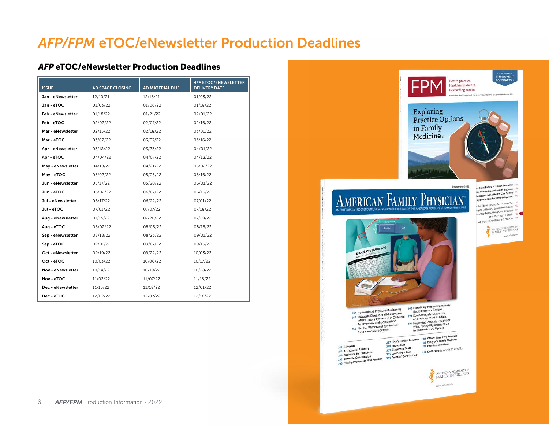# *AFP/FPM* eTOC/eNewsletter Production Deadlines

# *AFP* eTOC/eNewsletter Production Deadlines

| <b>ISSUE</b>      | <b>AD SPACE CLOSING</b> | AD MATERIAL DUE | <b>AFP ETOC/ENEWSLETTER</b><br><b>DELIVERY DATE</b> |
|-------------------|-------------------------|-----------------|-----------------------------------------------------|
| Jan - eNewsletter | 12/10/21                | 12/15/21        | 01/03/22                                            |
| Jan - eTOC        | 01/03/22                | 01/06/22        | 01/18/22                                            |
| Feb - eNewsletter | 01/18/22                | 01/21/22        | 02/01/22                                            |
| Feb - eTOC        | 02/02/22                | 02/07/22        | 02/16/22                                            |
| Mar - eNewsletter | 02/15/22                | 02/18/22        | 03/01/22                                            |
| Mar - eTOC        | 03/02/22                | 03/07/22        | 03/16/22                                            |
| Apr - eNewsletter | 03/18/22                | 03/23/22        | 04/01/22                                            |
| Apr - eTOC        | 04/04/22                | 04/07/22        | 04/18/22                                            |
| May - eNewsletter | 04/18/22                | 04/21/22        | 05/02/22                                            |
| May - eTOC        | 05/02/22                | 05/05/22        | 05/16/22                                            |
| Jun - eNewsletter | 05/17/22                | 05/20/22        | 06/01/22                                            |
| Jun - eTOC        | 06/02/22                | 06/07/22        | 06/16/22                                            |
| Jul - eNewsletter | 06/17/22                | 06/22/22        | 07/01/22                                            |
| Jul - eTOC        | 07/01/22                | 07/07/22        | 07/18/22                                            |
| Aug - eNewsletter | 07/15/22                | 07/20/22        | 07/29/22                                            |
| Aug - eTOC        | 08/02/22                | 08/05/22        | 08/16/22                                            |
| Sep - eNewsletter | 08/18/22                | 08/23/22        | 09/01/22                                            |
| Sep - eTOC        | 09/01/22                | 09/07/22        | 09/16/22                                            |
| Oct - eNewsletter | 09/19/22                | 09/22/22        | 10/03/22                                            |
| Oct - eTOC        | 10/03/22                | 10/06/22        | 10/17/22                                            |
| Nov - eNewsletter | 10/14/22                | 10/19/22        | 10/28/22                                            |
| Nov - eTOC        | 11/02/22                | 11/07/22        | 11/16/22                                            |
| Dec - eNewsletter | 11/15/22                | 11/18/22        | 12/01/22                                            |
| Dec - eTOC        | 12/02/22                | 12/07/22        | 12/16/22                                            |

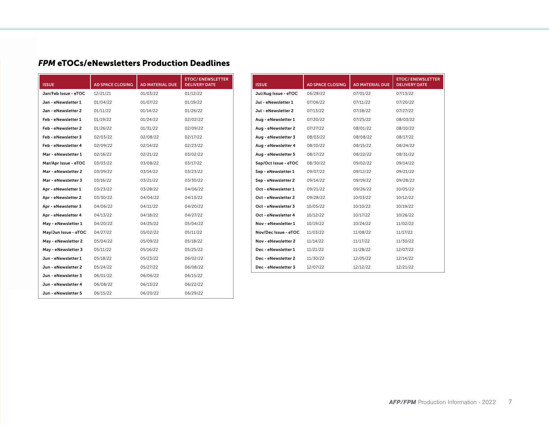# *FPM* eTOCs/eNewsletters Production Deadlines

| <b>ISSUE</b>         | <b>AD SPACE CLOSING</b> | <b>AD MATERIAL DUE</b> | <b>ETOC/ ENEWSLETTER</b><br><b>DELIVERY DATE</b> |
|----------------------|-------------------------|------------------------|--------------------------------------------------|
| Jan/Feb Issue - eTOC | 12/21/21                | 01/03/22               | 01/12/22                                         |
| Jan - eNewsletter 1  | 01/04/22                | 01/07/22               | 01/19/22                                         |
| Jan - eNewsletter 2  | 01/11/22                | 01/14/22               | 01/26/22                                         |
| Feb - eNewsletter 1  | 01/19/22                | 01/24/22               | 02/02/22                                         |
| Feb - eNewsletter 2  | 01/26/22                | 01/31/22               | 02/09/22                                         |
| Feb - eNewsletter 3  | 02/03/22                | 02/08/22               | 02/17/22                                         |
| Feb - eNewsletter 4  | 02/09/22                | 02/14/22               | 02/23/22                                         |
| Mar - eNewsletter 1  | 02/16/22                | 02/21/22               | 03/02/22                                         |
| Mar/Apr Issue - eTOC | 03/03/22                | 03/08/22               | 03/17/22                                         |
| Mar - eNewsletter 2  | 03/09/22                | 03/14/22               | 03/23/22                                         |
| Mar - eNewsletter 3  | 03/16/22                | 03/21/22               | 03/30/22                                         |
| Apr - eNewsletter 1  | 03/23/22                | 03/28/22               | 04/06/22                                         |
| Apr - eNewsletter 2  | 03/30/22                | 04/04/22               | 04/13/22                                         |
| Apr - eNewsletter 3  | 04/06/22                | 04/11/22               | 04/20/22                                         |
| Apr - eNewsletter 4  | 04/13/22                | 04/18/22               | 04/27/22                                         |
| May - eNewsletter 1  | 04/20/22                | 04/25/22               | 05/04/22                                         |
| May/Jun Issue - eTOC | 04/27/22                | 05/02/22               | 05/11/22                                         |
| May - eNewsletter 2  | 05/04/22                | 05/09/22               | 05/18/22                                         |
| May - eNewsletter 3  | 05/11/22                | 05/16/22               | 05/25/22                                         |
| Jun - eNewsletter 1  | 05/18/22                | 05/23/22               | 06/02/22                                         |
| Jun - eNewsletter 2  | 05/24/22                | 05/27/22               | 06/08/22                                         |
| Jun - eNewsletter 3  | 06/01/22                | 06/06/22               | 06/15/22                                         |
| Jun - eNewsletter 4  | 06/08/22                | 06/13/22               | 06/22/22                                         |
| Jun - eNewsletter 5  | 06/15/22                | 06/20/22               | 06/29/22                                         |

| <b>ISSUE</b>         | <b>AD SPACE CLOSING</b> | AD MATERIAL DUE | <b>ETOC/ENEWSLETTER</b><br><b>DELIVERY DATE</b> |
|----------------------|-------------------------|-----------------|-------------------------------------------------|
| Jul/Aug Issue - eTOC | 06/28/22                | 07/01/22        | 07/13/22                                        |
| Jul - eNewsletter 1  | 07/06/22                | 07/11/22        | 07/20/22                                        |
| Jul - eNewsletter 2  | 07/13/22                | 07/18/22        | 07/27/22                                        |
| Aug - eNewsletter 1  | 07/20/22                | 07/25/22        | 08/03/22                                        |
| Aug - eNewsletter 2  | 07/27/22                | 08/01/22        | 08/10/22                                        |
| Aug - eNewsletter 3  | 08/03/22                | 08/08/22        | 08/17/22                                        |
| Aug - eNewsletter 4  | 08/10/22                | 08/15/22        | 08/24/22                                        |
| Aug - eNewsletter 5  | 08/17/22                | 08/22/22        | 08/31/22                                        |
| Sep/Oct Issue - eTOC | 08/30/22                | 09/02/22        | 09/14/22                                        |
| Sep - eNewsletter 1  | 09/07/22                | 09/12/22        | 09/21/22                                        |
| Sep - eNewsletter 2  | 09/14/22                | 09/19/22        | 09/28/22                                        |
| Oct - eNewsletter 1  | 09/21/22                | 09/26/22        | 10/05/22                                        |
| Oct - eNewsletter 2  | 09/28/22                | 10/03/22        | 10/12/22                                        |
| Oct - eNewsletter 3  | 10/05/22                | 10/10/22        | 10/19/22                                        |
| Oct - eNewsletter 4  | 10/12/22                | 10/17/22        | 10/26/22                                        |
| Nov - eNewsletter 1  | 10/19/22                | 10/24/22        | 11/02/22                                        |
| Nov/Dec Issue - eTOC | 11/03/22                | 11/08/22        | 11/17/22                                        |
| Nov - eNewsletter 2  | 11/14/22                | 11/17/22        | 11/30/22                                        |
| Dec - eNewsletter 1  | 11/21/22                | 11/28/22        | 12/07/22                                        |
| Dec - eNewsletter 2  | 11/30/22                | 12/05/22        | 12/14/22                                        |
| Dec - eNewsletter 3  | 12/07/22                | 12/12/22        | 12/21/22                                        |